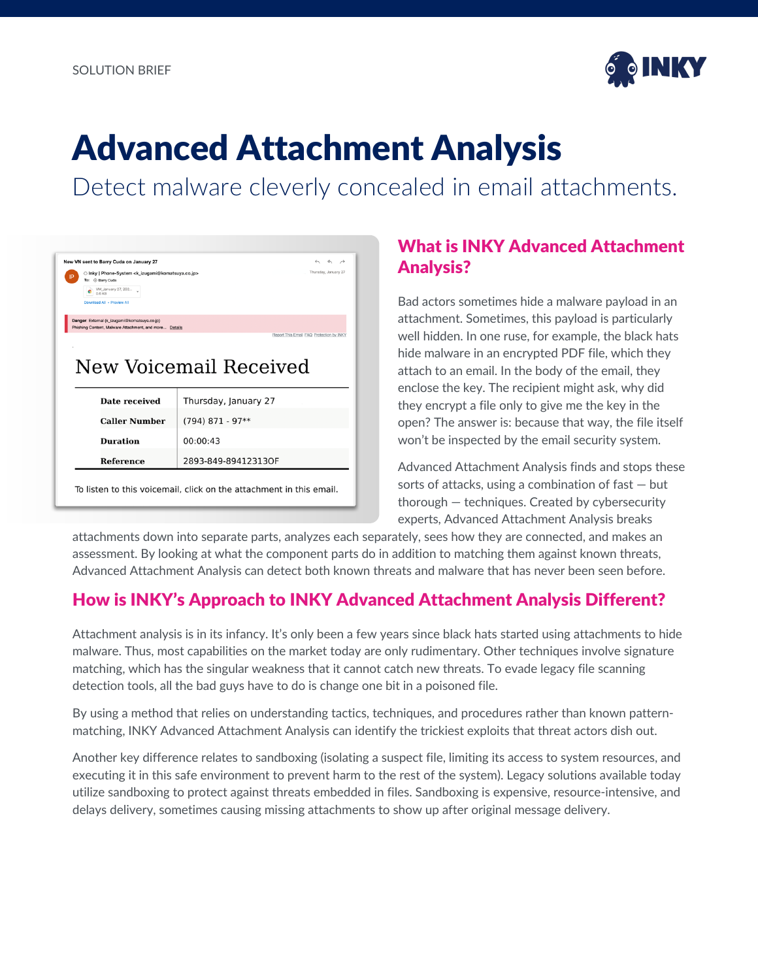

# Advanced Attachment Analysis

Detect malware cleverly concealed in email attachments.

|     | New VN sent to Barry Cuda on January 27                                                                | $\leftarrow$ $\leftarrow$ $\rightarrow$                             |
|-----|--------------------------------------------------------------------------------------------------------|---------------------------------------------------------------------|
| IP. | ○ Inky   Phone-System <k_izugami@komatsuya.co.jp><br/>To: Barry Cuda</k_izugami@komatsuya.co.jp>       | Thursday, January 27                                                |
|     | VM_January 27, 202<br>0.6 KB                                                                           |                                                                     |
|     | Download All - Preview All                                                                             |                                                                     |
|     | Danger: External (k izugami@komatsuva.co.jp)<br>Phishing Content, Malware Attachment, and more Details |                                                                     |
|     |                                                                                                        | Report This Email FAQ Protection by INKY                            |
|     |                                                                                                        |                                                                     |
|     |                                                                                                        |                                                                     |
|     |                                                                                                        | New Voicemail Received                                              |
|     |                                                                                                        |                                                                     |
|     |                                                                                                        |                                                                     |
|     |                                                                                                        |                                                                     |
|     |                                                                                                        |                                                                     |
|     | Date received                                                                                          | Thursday, January 27                                                |
|     | <b>Caller Number</b>                                                                                   | $(794)$ 871 - 97**                                                  |
|     | <b>Duration</b>                                                                                        | 00:00:43                                                            |
|     | <b>Reference</b>                                                                                       | 2893-849-89412313OF                                                 |
|     |                                                                                                        |                                                                     |
|     |                                                                                                        |                                                                     |
|     |                                                                                                        | To listen to this voicemail, click on the attachment in this email. |

### What is INKY Advanced Attachment Analysis?

Bad actors sometimes hide a malware payload in an attachment. Sometimes, this payload is particularly well hidden. In one ruse, for example, the black hats hide malware in an encrypted PDF file, which they attach to an email. In the body of the email, they enclose the key. The recipient might ask, why did they encrypt a file only to give me the key in the open? The answer is: because that way, the file itself won't be inspected by the email security system.

Advanced Attachment Analysis finds and stops these sorts of attacks, using a combination of  $fast - but$ thorough — techniques. Created by cybersecurity experts, Advanced Attachment Analysis breaks

attachments down into separate parts, analyzes each separately, sees how they are connected, and makes an assessment. By looking at what the component parts do in addition to matching them against known threats, Advanced Attachment Analysis can detect both known threats and malware that has never been seen before.

### How is INKY's Approach to INKY Advanced Attachment Analysis Different?

Attachment analysis is in its infancy. It's only been a few years since black hats started using attachments to hide malware. Thus, most capabilities on the market today are only rudimentary. Other techniques involve signature matching, which has the singular weakness that it cannot catch new threats. To evade legacy file scanning detection tools, all the bad guys have to do is change one bit in a poisoned file.

By using a method that relies on understanding tactics, techniques, and procedures rather than known patternmatching, INKY Advanced Attachment Analysis can identify the trickiest exploits that threat actors dish out.

Another key difference relates to sandboxing (isolating a suspect file, limiting its access to system resources, and executing it in this safe environment to prevent harm to the rest of the system). Legacy solutions available today utilize sandboxing to protect against threats embedded in files. Sandboxing is expensive, resource-intensive, and delays delivery, sometimes causing missing attachments to show up after original message delivery.